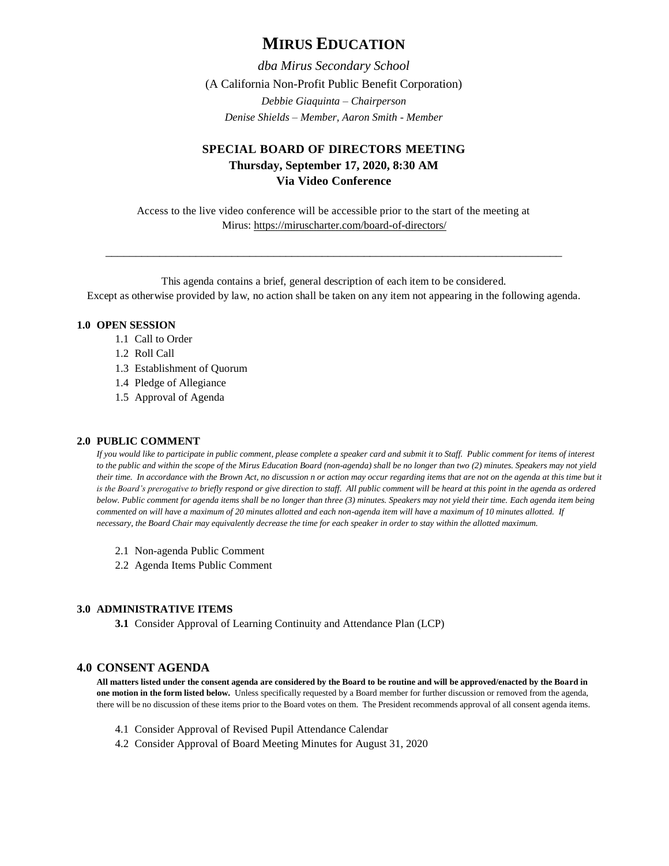# **MIRUS EDUCATION**

*dba Mirus Secondary School* (A California Non-Profit Public Benefit Corporation) *Debbie Giaquinta – Chairperson Denise Shields – Member, Aaron Smith - Member*

## **SPECIAL BOARD OF DIRECTORS MEETING Thursday, September 17, 2020, 8:30 AM Via Video Conference**

Access to the live video conference will be accessible prior to the start of the meeting at Mirus:<https://miruscharter.com/board-of-directors/>

\_\_\_\_\_\_\_\_\_\_\_\_\_\_\_\_\_\_\_\_\_\_\_\_\_\_\_\_\_\_\_\_\_\_\_\_\_\_\_\_\_\_\_\_\_\_\_\_\_\_\_\_\_\_\_\_\_\_\_\_\_\_\_\_\_\_\_\_\_\_\_\_\_\_\_\_

This agenda contains a brief, general description of each item to be considered. Except as otherwise provided by law, no action shall be taken on any item not appearing in the following agenda.

### **1.0 OPEN SESSION**

- 1.1 Call to Order
- 1.2 Roll Call
- 1.3 Establishment of Quorum
- 1.4 Pledge of Allegiance
- 1.5 Approval of Agenda

#### **2.0 PUBLIC COMMENT**

*If you would like to participate in public comment, please complete a speaker card and submit it to Staff. Public comment for items of interest to the public and within the scope of the Mirus Education Board (non-agenda) shall be no longer than two (2) minutes. Speakers may not yield their time. In accordance with the Brown Act, no discussion n or action may occur regarding items that are not on the agenda at this time but it*  is the Board's prerogative to briefly respond or give direction to staff. All public comment will be heard at this point in the agenda as ordered *below. Public comment for agenda items shall be no longer than three (3) minutes. Speakers may not yield their time. Each agenda item being commented on will have a maximum of 20 minutes allotted and each non-agenda item will have a maximum of 10 minutes allotted. If necessary, the Board Chair may equivalently decrease the time for each speaker in order to stay within the allotted maximum.*

- 2.1 Non-agenda Public Comment
- 2.2 Agenda Items Public Comment

#### **3.0 ADMINISTRATIVE ITEMS**

**3.1** Consider Approval of Learning Continuity and Attendance Plan (LCP)

## **4.0 CONSENT AGENDA**

**All matters listed under the consent agenda are considered by the Board to be routine and will be approved/enacted by the Board in one motion in the form listed below.** Unless specifically requested by a Board member for further discussion or removed from the agenda, there will be no discussion of these items prior to the Board votes on them. The President recommends approval of all consent agenda items.

- 4.1 Consider Approval of Revised Pupil Attendance Calendar
- 4.2 Consider Approval of Board Meeting Minutes for August 31, 2020